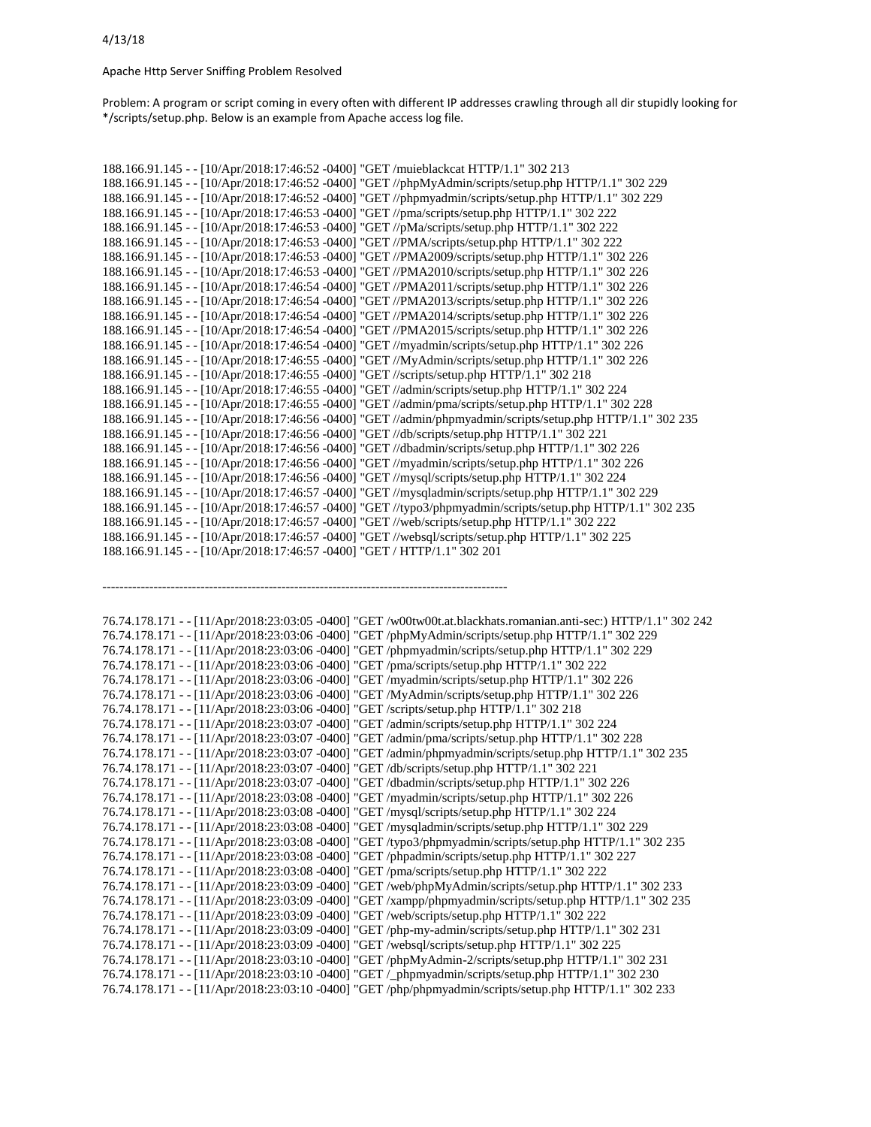Apache Http Server Sniffing Problem Resolved

Problem: A program or script coming in every often with different IP addresses crawling through all dir stupidly looking for \*/scripts/setup.php. Below is an example from Apache access log file.

188.166.91.145 - - [10/Apr/2018:17:46:52 -0400] "GET /muieblackcat HTTP/1.1" 302 213 188.166.91.145 - - [10/Apr/2018:17:46:52 -0400] "GET //phpMyAdmin/scripts/setup.php HTTP/1.1" 302 229 188.166.91.145 - - [10/Apr/2018:17:46:52 -0400] "GET //phpmyadmin/scripts/setup.php HTTP/1.1" 302 229 188.166.91.145 - - [10/Apr/2018:17:46:53 -0400] "GET //pma/scripts/setup.php HTTP/1.1" 302 222 188.166.91.145 - - [10/Apr/2018:17:46:53 -0400] "GET //pMa/scripts/setup.php HTTP/1.1" 302 222 188.166.91.145 - - [10/Apr/2018:17:46:53 -0400] "GET //PMA/scripts/setup.php HTTP/1.1" 302 222 188.166.91.145 - - [10/Apr/2018:17:46:53 -0400] "GET //PMA2009/scripts/setup.php HTTP/1.1" 302 226 188.166.91.145 - - [10/Apr/2018:17:46:53 -0400] "GET //PMA2010/scripts/setup.php HTTP/1.1" 302 226 188.166.91.145 - - [10/Apr/2018:17:46:54 -0400] "GET //PMA2011/scripts/setup.php HTTP/1.1" 302 226 188.166.91.145 - - [10/Apr/2018:17:46:54 -0400] "GET //PMA2013/scripts/setup.php HTTP/1.1" 302 226 188.166.91.145 - - [10/Apr/2018:17:46:54 -0400] "GET //PMA2014/scripts/setup.php HTTP/1.1" 302 226 188.166.91.145 - - [10/Apr/2018:17:46:54 -0400] "GET //PMA2015/scripts/setup.php HTTP/1.1" 302 226 188.166.91.145 - - [10/Apr/2018:17:46:54 -0400] "GET //myadmin/scripts/setup.php HTTP/1.1" 302 226 188.166.91.145 - - [10/Apr/2018:17:46:55 -0400] "GET //MyAdmin/scripts/setup.php HTTP/1.1" 302 226 188.166.91.145 - - [10/Apr/2018:17:46:55 -0400] "GET //scripts/setup.php HTTP/1.1" 302 218 188.166.91.145 - - [10/Apr/2018:17:46:55 -0400] "GET //admin/scripts/setup.php HTTP/1.1" 302 224 188.166.91.145 - - [10/Apr/2018:17:46:55 -0400] "GET //admin/pma/scripts/setup.php HTTP/1.1" 302 228 188.166.91.145 - - [10/Apr/2018:17:46:56 -0400] "GET //admin/phpmyadmin/scripts/setup.php HTTP/1.1" 302 235 188.166.91.145 - - [10/Apr/2018:17:46:56 -0400] "GET //db/scripts/setup.php HTTP/1.1" 302 221 188.166.91.145 - - [10/Apr/2018:17:46:56 -0400] "GET //dbadmin/scripts/setup.php HTTP/1.1" 302 226 188.166.91.145 - - [10/Apr/2018:17:46:56 -0400] "GET //myadmin/scripts/setup.php HTTP/1.1" 302 226 188.166.91.145 - - [10/Apr/2018:17:46:56 -0400] "GET //mysql/scripts/setup.php HTTP/1.1" 302 224 188.166.91.145 - - [10/Apr/2018:17:46:57 -0400] "GET //mysqladmin/scripts/setup.php HTTP/1.1" 302 229 188.166.91.145 - - [10/Apr/2018:17:46:57 -0400] "GET //typo3/phpmyadmin/scripts/setup.php HTTP/1.1" 302 235 188.166.91.145 - - [10/Apr/2018:17:46:57 -0400] "GET //web/scripts/setup.php HTTP/1.1" 302 222 188.166.91.145 - - [10/Apr/2018:17:46:57 -0400] "GET //websql/scripts/setup.php HTTP/1.1" 302 225 188.166.91.145 - - [10/Apr/2018:17:46:57 -0400] "GET / HTTP/1.1" 302 201 ----------------------------------------------------------------------------------------------- 76.74.178.171 - - [11/Apr/2018:23:03:05 -0400] "GET /w00tw00t.at.blackhats.romanian.anti-sec:) HTTP/1.1" 302 242 76.74.178.171 - - [11/Apr/2018:23:03:06 -0400] "GET /phpMyAdmin/scripts/setup.php HTTP/1.1" 302 229 76.74.178.171 - - [11/Apr/2018:23:03:06 -0400] "GET /phpmyadmin/scripts/setup.php HTTP/1.1" 302 229 76.74.178.171 - - [11/Apr/2018:23:03:06 -0400] "GET /pma/scripts/setup.php HTTP/1.1" 302 222 76.74.178.171 - - [11/Apr/2018:23:03:06 -0400] "GET /myadmin/scripts/setup.php HTTP/1.1" 302 226 76.74.178.171 - - [11/Apr/2018:23:03:06 -0400] "GET /MyAdmin/scripts/setup.php HTTP/1.1" 302 226 76.74.178.171 - - [11/Apr/2018:23:03:06 -0400] "GET /scripts/setup.php HTTP/1.1" 302 218 76.74.178.171 - - [11/Apr/2018:23:03:07 -0400] "GET /admin/scripts/setup.php HTTP/1.1" 302 224 76.74.178.171 - - [11/Apr/2018:23:03:07 -0400] "GET /admin/pma/scripts/setup.php HTTP/1.1" 302 228 76.74.178.171 - - [11/Apr/2018:23:03:07 -0400] "GET /admin/phpmyadmin/scripts/setup.php HTTP/1.1" 302 235 76.74.178.171 - - [11/Apr/2018:23:03:07 -0400] "GET /db/scripts/setup.php HTTP/1.1" 302 221 76.74.178.171 - - [11/Apr/2018:23:03:07 -0400] "GET /dbadmin/scripts/setup.php HTTP/1.1" 302 226 76.74.178.171 - - [11/Apr/2018:23:03:08 -0400] "GET /myadmin/scripts/setup.php HTTP/1.1" 302 226 76.74.178.171 - - [11/Apr/2018:23:03:08 -0400] "GET /mysql/scripts/setup.php HTTP/1.1" 302 224 76.74.178.171 - - [11/Apr/2018:23:03:08 -0400] "GET /mysqladmin/scripts/setup.php HTTP/1.1" 302 229 76.74.178.171 - - [11/Apr/2018:23:03:08 -0400] "GET /typo3/phpmyadmin/scripts/setup.php HTTP/1.1" 302 235 76.74.178.171 - - [11/Apr/2018:23:03:08 -0400] "GET /phpadmin/scripts/setup.php HTTP/1.1" 302 227 76.74.178.171 - - [11/Apr/2018:23:03:08 -0400] "GET /pma/scripts/setup.php HTTP/1.1" 302 222 76.74.178.171 - - [11/Apr/2018:23:03:09 -0400] "GET /web/phpMyAdmin/scripts/setup.php HTTP/1.1" 302 233 76.74.178.171 - - [11/Apr/2018:23:03:09 -0400] "GET /xampp/phpmyadmin/scripts/setup.php HTTP/1.1" 302 235 76.74.178.171 - - [11/Apr/2018:23:03:09 -0400] "GET /web/scripts/setup.php HTTP/1.1" 302 222 76.74.178.171 - - [11/Apr/2018:23:03:09 -0400] "GET /php-my-admin/scripts/setup.php HTTP/1.1" 302 231 76.74.178.171 - - [11/Apr/2018:23:03:09 -0400] "GET /websql/scripts/setup.php HTTP/1.1" 302 225 76.74.178.171 - - [11/Apr/2018:23:03:10 -0400] "GET /phpMyAdmin-2/scripts/setup.php HTTP/1.1" 302 231 76.74.178.171 - - [11/Apr/2018:23:03:10 -0400] "GET /\_phpmyadmin/scripts/setup.php HTTP/1.1" 302 230 76.74.178.171 - - [11/Apr/2018:23:03:10 -0400] "GET /php/phpmyadmin/scripts/setup.php HTTP/1.1" 302 233